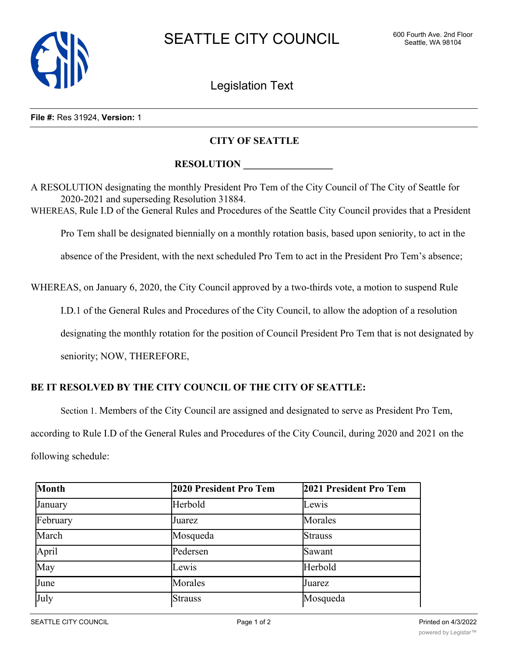

Legislation Text

#### **File #:** Res 31924, **Version:** 1

### **CITY OF SEATTLE**

# **RESOLUTION**

A RESOLUTION designating the monthly President Pro Tem of the City Council of The City of Seattle for 2020-2021 and superseding Resolution 31884. WHEREAS, Rule I.D of the General Rules and Procedures of the Seattle City Council provides that a President Pro Tem shall be designated biennially on a monthly rotation basis, based upon seniority, to act in the absence of the President, with the next scheduled Pro Tem to act in the President Pro Tem's absence;

WHEREAS, on January 6, 2020, the City Council approved by a two-thirds vote, a motion to suspend Rule

I.D.1 of the General Rules and Procedures of the City Council, to allow the adoption of a resolution

designating the monthly rotation for the position of Council President Pro Tem that is not designated by

seniority; NOW, THEREFORE,

## **BE IT RESOLVED BY THE CITY COUNCIL OF THE CITY OF SEATTLE:**

Section 1. Members of the City Council are assigned and designated to serve as President Pro Tem,

according to Rule I.D of the General Rules and Procedures of the City Council, during 2020 and 2021 on the following schedule:

| Month    | 2020 President Pro Tem | 2021 President Pro Tem |
|----------|------------------------|------------------------|
| January  | Herbold                | Lewis                  |
| February | Juarez                 | Morales                |
| March    | Mosqueda               | <b>Strauss</b>         |
| April    | Pedersen               | Sawant                 |
| May      | Lewis                  | Herbold                |
| June     | Morales                | Juarez                 |
| July     | <b>Strauss</b>         | Mosqueda               |